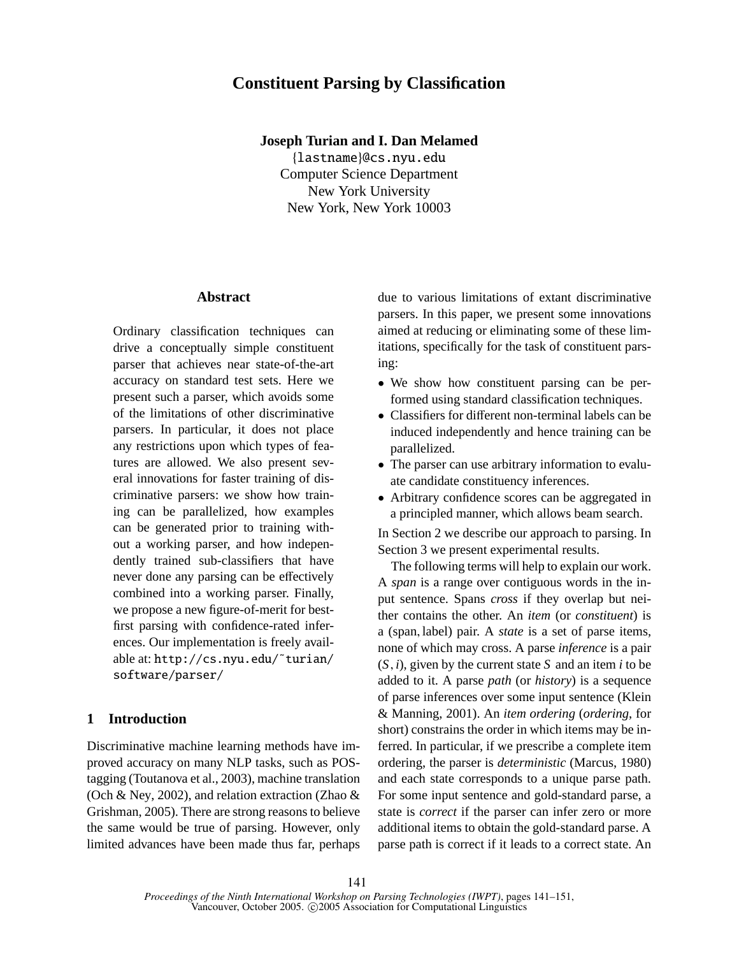# **Constituent Parsing by Classification**

#### **Joseph Turian and I. Dan Melamed**

{lastname}@cs.nyu.edu Computer Science Department New York University New York, New York 10003

## **Abstract**

Ordinary classification techniques can drive a conceptually simple constituent parser that achieves near state-of-the-art accuracy on standard test sets. Here we present such a parser, which avoids some of the limitations of other discriminative parsers. In particular, it does not place any restrictions upon which types of features are allowed. We also present several innovations for faster training of discriminative parsers: we show how training can be parallelized, how examples can be generated prior to training without a working parser, and how independently trained sub-classifiers that have never done any parsing can be effectively combined into a working parser. Finally, we propose a new figure-of-merit for bestfirst parsing with confidence-rated inferences. Our implementation is freely available at: http://cs.nyu.edu/˜turian/ software/parser/

# **1 Introduction**

Discriminative machine learning methods have improved accuracy on many NLP tasks, such as POStagging (Toutanova et al., 2003), machine translation (Och & Ney, 2002), and relation extraction (Zhao & Grishman, 2005). There are strong reasons to believe the same would be true of parsing. However, only limited advances have been made thus far, perhaps

due to various limitations of extant discriminative parsers. In this paper, we present some innovations aimed at reducing or eliminating some of these limitations, specifically for the task of constituent parsing:

- We show how constituent parsing can be performed using standard classification techniques.
- Classifiers for different non-terminal labels can be induced independently and hence training can be parallelized.
- The parser can use arbitrary information to evaluate candidate constituency inferences.
- Arbitrary confidence scores can be aggregated in a principled manner, which allows beam search.

In Section 2 we describe our approach to parsing. In Section 3 we present experimental results.

The following terms will help to explain our work. A *span* is a range over contiguous words in the input sentence. Spans *cross* if they overlap but neither contains the other. An *item* (or *constituent*) is a (span, label) pair. A *state* is a set of parse items, none of which may cross. A parse *inference* is a pair  $(S, i)$ , given by the current state *S* and an item *i* to be added to it. A parse *path* (or *history*) is a sequence of parse inferences over some input sentence (Klein & Manning, 2001). An *item ordering* (*ordering*, for short) constrains the order in which items may be inferred. In particular, if we prescribe a complete item ordering, the parser is *deterministic* (Marcus, 1980) and each state corresponds to a unique parse path. For some input sentence and gold-standard parse, a state is *correct* if the parser can infer zero or more additional items to obtain the gold-standard parse. A parse path is correct if it leads to a correct state. An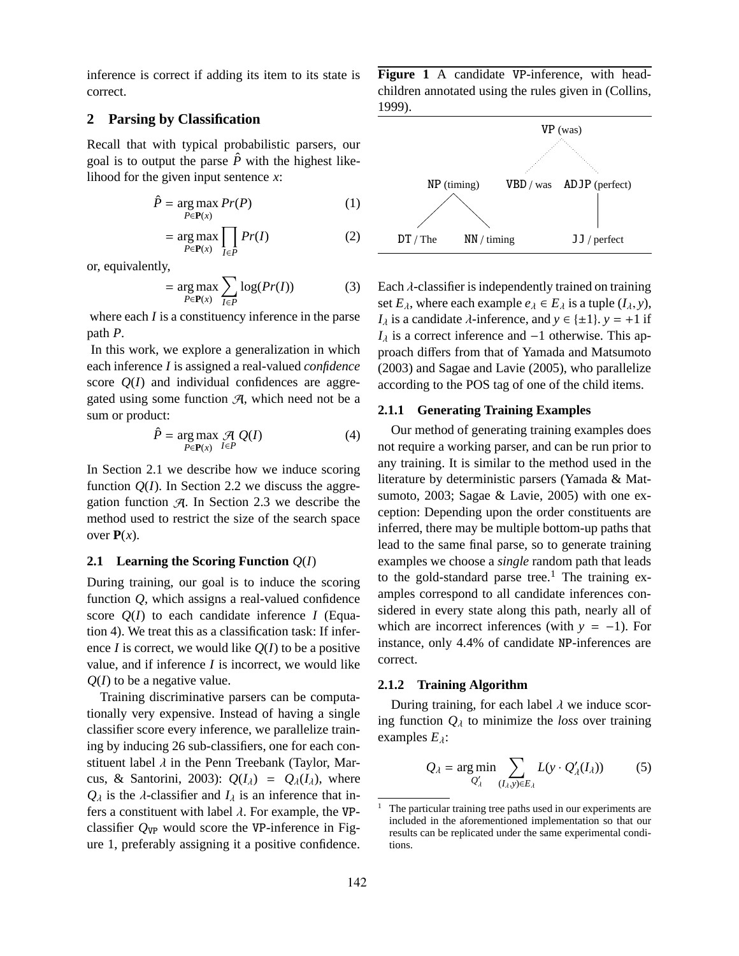inference is correct if adding its item to its state is correct.

# **2 Parsing by Classification**

Recall that with typical probabilistic parsers, our goal is to output the parse  $\hat{P}$  with the highest likelihood for the given input sentence *x*:

$$
\hat{P} = \underset{P \in \mathbf{P}(x)}{\arg \max} \ Pr(P) \tag{1}
$$

$$
= \underset{P \in \mathbf{P}(x)}{\arg \max} \prod_{I \in P} Pr(I) \tag{2}
$$

or, equivalently,

$$
= \underset{P \in \mathbf{P}(x)}{\arg \max} \sum_{I \in P} \log(Pr(I)) \tag{3}
$$

where each *I* is a constituency inference in the parse path *P*.

In this work, we explore a generalization in which each inference *I* is assigned a real-valued *confidence* score  $Q(I)$  and individual confidences are aggregated using some function  $A$ , which need not be a sum or product:

$$
\hat{P} = \underset{P \in \mathbf{P}(x)}{\arg \max} \mathcal{A} Q(I) \tag{4}
$$

In Section 2.1 we describe how we induce scoring function  $Q(I)$ . In Section 2.2 we discuss the aggregation function  $\mathcal{A}$ . In Section 2.3 we describe the method used to restrict the size of the search space over  $P(x)$ .

## **2.1 Learning the Scoring Function** *Q*(*I*)

During training, our goal is to induce the scoring function *Q*, which assigns a real-valued confidence score  $Q(I)$  to each candidate inference *I* (Equation 4). We treat this as a classification task: If inference *I* is correct, we would like  $Q(I)$  to be a positive value, and if inference *I* is incorrect, we would like *Q*(*I*) to be a negative value.

Training discriminative parsers can be computationally very expensive. Instead of having a single classifier score every inference, we parallelize training by inducing 26 sub-classifiers, one for each constituent label  $\lambda$  in the Penn Treebank (Taylor, Marcus, & Santorini, 2003):  $Q(I_{\lambda}) = Q_{\lambda}(I_{\lambda})$ , where  $Q_{\lambda}$  is the  $\lambda$ -classifier and  $I_{\lambda}$  is an inference that infers a constituent with label  $\lambda$ . For example, the VPclassifier  $Q_{VP}$  would score the VP-inference in Figure 1, preferably assigning it a positive confidence. **Figure 1** A candidate VP-inference, with headchildren annotated using the rules given in (Collins, 1999).



Each  $\lambda$ -classifier is independently trained on training set  $E_\lambda$ , where each example  $e_\lambda \in E_\lambda$  is a tuple  $(I_\lambda, y)$ , *I*<sub> $\lambda$ </sub> is a candidate  $\lambda$ -inference, and  $y \in \{\pm 1\}$ .  $y = +1$  if  $I_{\lambda}$  is a correct inference and  $-1$  otherwise. This approach differs from that of Yamada and Matsumoto (2003) and Sagae and Lavie (2005), who parallelize according to the POS tag of one of the child items.

#### **2.1.1 Generating Training Examples**

Our method of generating training examples does not require a working parser, and can be run prior to any training. It is similar to the method used in the literature by deterministic parsers (Yamada & Matsumoto, 2003; Sagae & Lavie, 2005) with one exception: Depending upon the order constituents are inferred, there may be multiple bottom-up paths that lead to the same final parse, so to generate training examples we choose a *single* random path that leads to the gold-standard parse tree.<sup>1</sup> The training examples correspond to all candidate inferences considered in every state along this path, nearly all of which are incorrect inferences (with  $y = -1$ ). For instance, only 4.4% of candidate NP-inferences are correct.

#### **2.1.2 Training Algorithm**

During training, for each label  $\lambda$  we induce scoring function  $Q_{\lambda}$  to minimize the *loss* over training examples  $E_\lambda$ :

$$
Q_{\lambda} = \underset{Q'_{\lambda}}{\text{arg min}} \sum_{(I_{\lambda}, y) \in E_{\lambda}} L(y \cdot Q'_{\lambda}(I_{\lambda})) \tag{5}
$$

The particular training tree paths used in our experiments are included in the aforementioned implementation so that our results can be replicated under the same experimental conditions.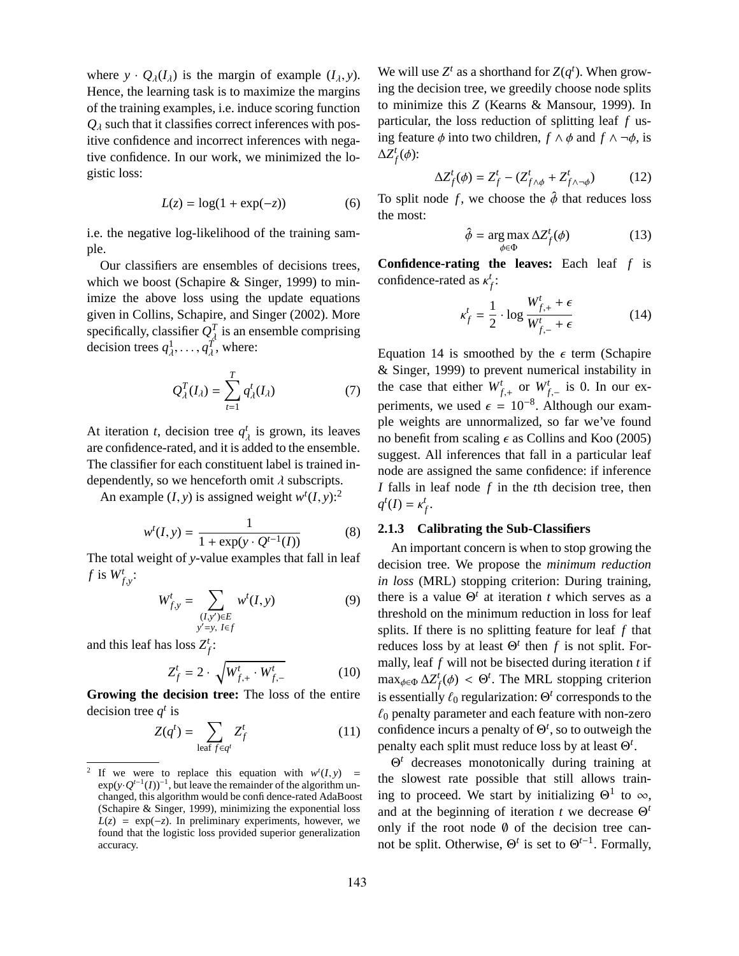where  $y \cdot Q_{\lambda}(I_{\lambda})$  is the margin of example  $(I_{\lambda}, y)$ . Hence, the learning task is to maximize the margins of the training examples, i.e. induce scoring function  $Q_{\lambda}$  such that it classifies correct inferences with positive confidence and incorrect inferences with negative confidence. In our work, we minimized the logistic loss:

$$
L(z) = \log(1 + \exp(-z))\tag{6}
$$

i.e. the negative log-likelihood of the training sample.

Our classifiers are ensembles of decisions trees, which we boost (Schapire & Singer, 1999) to minimize the above loss using the update equations given in Collins, Schapire, and Singer (2002). More specifically, classifier  $Q_A^T$  is an ensemble comprising decision trees  $q_{\lambda}^1, \ldots, q_{\lambda}^T$ , where:

$$
Q_{\lambda}^{T}(I_{\lambda}) = \sum_{t=1}^{T} q_{\lambda}^{t}(I_{\lambda})
$$
 (7)

At iteration *t*, decision tree  $q^t_{\lambda}$  is grown, its leaves are confidence-rated, and it is added to the ensemble. The classifier for each constituent label is trained independently, so we henceforth omit  $\lambda$  subscripts.

An example  $(I, y)$  is assigned weight  $w<sup>t</sup>(I, y)$ :<sup>2</sup>

$$
w^{t}(I, y) = \frac{1}{1 + \exp(y \cdot Q^{t-1}(I))}
$$
(8)

The total weight of *y*-value examples that fall in leaf *f* is  $W_{f,y}^t$ :

$$
W_{f,y}^{t} = \sum_{\substack{(I,y') \in E \\ y'=y, \ I \in f}} w^{t}(I, y)
$$
 (9)

and this leaf has loss  $Z_f^t$ :

$$
Z_f^t = 2 \cdot \sqrt{W_{f,+}^t \cdot W_{f,-}^t} \tag{10}
$$

**Growing the decision tree:** The loss of the entire decision tree  $q^t$  is

$$
Z(q^t) = \sum_{\text{leaf } f \in q^t} Z_f^t \tag{11}
$$

We will use  $Z^t$  as a shorthand for  $Z(q^t)$ . When growing the decision tree, we greedily choose node splits to minimize this *Z* (Kearns & Mansour, 1999). In particular, the loss reduction of splitting leaf *f* using feature  $\phi$  into two children,  $f \wedge \phi$  and  $f \wedge \neg \phi$ , is  $ΔZ<sup>t</sup><sub>f</sub>(φ)$ :

$$
\Delta Z_f^t(\phi) = Z_f^t - (Z_{f \wedge \phi}^t + Z_{f \wedge \neg \phi}^t)
$$
 (12)

To split node *f*, we choose the  $\hat{\phi}$  that reduces loss the most:

$$
\hat{\phi} = \underset{\phi \in \Phi}{\arg \max} \Delta Z_f^t(\phi) \tag{13}
$$

**Confidence-rating the leaves:** Each leaf *f* is confidence-rated as  $\kappa_f^t$ :

$$
\kappa_f^t = \frac{1}{2} \cdot \log \frac{W_{f,+}^t + \epsilon}{W_{f,-}^t + \epsilon} \tag{14}
$$

Equation 14 is smoothed by the  $\epsilon$  term (Schapire & Singer, 1999) to prevent numerical instability in the case that either  $W_{f,+}^t$  or  $W_{f,-}^t$  is 0. In our experiments, we used  $\epsilon = 10^{-8}$ . Although our example weights are unnormalized, so far we've found no benefit from scaling  $\epsilon$  as Collins and Koo (2005) suggest. All inferences that fall in a particular leaf node are assigned the same confidence: if inference *I* falls in leaf node *f* in the *t*th decision tree, then  $q^t(I) = \kappa_f^t$ .

#### **2.1.3 Calibrating the Sub-Classifiers**

An important concern is when to stop growing the decision tree. We propose the *minimum reduction in loss* (MRL) stopping criterion: During training, there is a value  $\Theta^t$  at iteration *t* which serves as a threshold on the minimum reduction in loss for leaf splits. If there is no splitting feature for leaf *f* that reduces loss by at least  $\Theta^t$  then *f* is not split. Formally, leaf *f* will not be bisected during iteration *t* if  $\max_{\phi \in \Phi} \Delta Z_f^t(\phi) < \Theta^t$ . The MRL stopping criterion is essentially  $\ell_0$  regularization:  $\Theta^t$  corresponds to the  $\ell_0$  penalty parameter and each feature with non-zero confidence incurs a penalty of  $\Theta^t$ , so to outweigh the penalty each split must reduce loss by at least Θ *t* .

Θ *<sup>t</sup>* decreases monotonically during training at the slowest rate possible that still allows training to proceed. We start by initializing  $\Theta^1$  to  $\infty$ , and at the beginning of iteration *t* we decrease Θ *t* only if the root node  $\emptyset$  of the decision tree cannot be split. Otherwise,  $\Theta^t$  is set to  $\Theta^{t-1}$ . Formally,

<sup>2</sup> If we were to replace this equation with  $w^t(I, y)$  =  $\exp(y \cdot Q^{t-1}(I))^{-1}$ , but leave the remainder of the algorithm unchanged, this algorithm would be confidence-rated AdaBoost (Schapire & Singer, 1999), minimizing the exponential loss  $L(z) = \exp(-z)$ . In preliminary experiments, however, we found that the logistic loss provided superior generalization accuracy.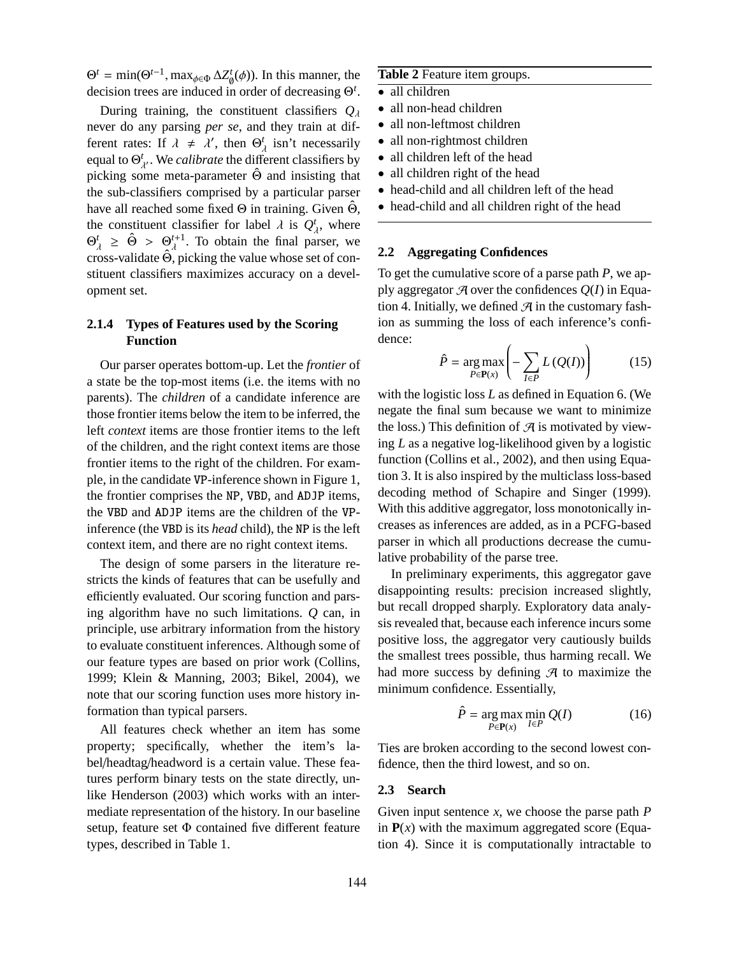$\Theta^t = \min(\Theta^{t-1}, \max_{\phi \in \Phi} \Delta Z^t_{\emptyset}(\phi))$ . In this manner, the decision trees are induced in order of decreasing Θ *t* .

During training, the constituent classifiers *Q*<sup>λ</sup> never do any parsing *per se*, and they train at different rates: If  $\lambda \neq \lambda'$ , then  $\Theta_{\lambda}^{t}$  isn't necessarily equal to  $\Theta_{\lambda}^{t}$ . We *calibrate* the different classifiers by picking some meta-parameter  $\hat{\Theta}$  and insisting that the sub-classifiers comprised by a particular parser have all reached some fixed  $\Theta$  in training. Given  $\hat{\Theta}$ , the constituent classifier for label  $\lambda$  is  $Q^t_\lambda$ , where  $\Theta_{\lambda}^{t} \geq \hat{\Theta} > \Theta_{\lambda}^{t+1}$ . To obtain the final parser, we cross-validate  $\hat{\Theta}$ , picking the value whose set of constituent classifiers maximizes accuracy on a development set.

# **2.1.4 Types of Features used by the Scoring Function**

Our parser operates bottom-up. Let the *frontier* of a state be the top-most items (i.e. the items with no parents). The *children* of a candidate inference are those frontier items below the item to be inferred, the left *context* items are those frontier items to the left of the children, and the right context items are those frontier items to the right of the children. For example, in the candidate VP-inference shown in Figure 1, the frontier comprises the NP, VBD, and ADJP items, the VBD and ADJP items are the children of the VPinference (the VBD is its *head* child), the NP is the left context item, and there are no right context items.

The design of some parsers in the literature restricts the kinds of features that can be usefully and efficiently evaluated. Our scoring function and parsing algorithm have no such limitations. *Q* can, in principle, use arbitrary information from the history to evaluate constituent inferences. Although some of our feature types are based on prior work (Collins, 1999; Klein & Manning, 2003; Bikel, 2004), we note that our scoring function uses more history information than typical parsers.

All features check whether an item has some property; specifically, whether the item's label/headtag/headword is a certain value. These features perform binary tests on the state directly, unlike Henderson (2003) which works with an intermediate representation of the history. In our baseline setup, feature set Φ contained five different feature types, described in Table 1.

## **Table 2** Feature item groups.

- all children
- all non-head children
- all non-leftmost children
- all non-rightmost children
- all children left of the head
- all children right of the head
- head-child and all children left of the head
- head-child and all children right of the head

### **2.2 Aggregating Confidences**

To get the cumulative score of a parse path *P*, we apply aggregator  $\mathcal A$  over the confidences  $Q(I)$  in Equation 4. Initially, we defined  $\mathcal{A}$  in the customary fashion as summing the loss of each inference's confidence:

$$
\hat{P} = \underset{P \in \mathbf{P}(x)}{\arg \max} \left( -\sum_{I \in P} L\left(Q(I)\right) \right) \tag{15}
$$

with the logistic loss *L* as defined in Equation 6. (We negate the final sum because we want to minimize the loss.) This definition of  $\mathcal{A}$  is motivated by viewing *L* as a negative log-likelihood given by a logistic function (Collins et al., 2002), and then using Equation 3. It is also inspired by the multiclass loss-based decoding method of Schapire and Singer (1999). With this additive aggregator, loss monotonically increases as inferences are added, as in a PCFG-based parser in which all productions decrease the cumulative probability of the parse tree.

In preliminary experiments, this aggregator gave disappointing results: precision increased slightly, but recall dropped sharply. Exploratory data analysis revealed that, because each inference incurs some positive loss, the aggregator very cautiously builds the smallest trees possible, thus harming recall. We had more success by defining  $\mathcal A$  to maximize the minimum confidence. Essentially,

$$
\hat{P} = \underset{P \in \mathbf{P}(x)}{\arg \max} \underset{I \in P}{\min} Q(I) \tag{16}
$$

Ties are broken according to the second lowest confidence, then the third lowest, and so on.

#### **2.3 Search**

Given input sentence *x*, we choose the parse path *P* in  $P(x)$  with the maximum aggregated score (Equation 4). Since it is computationally intractable to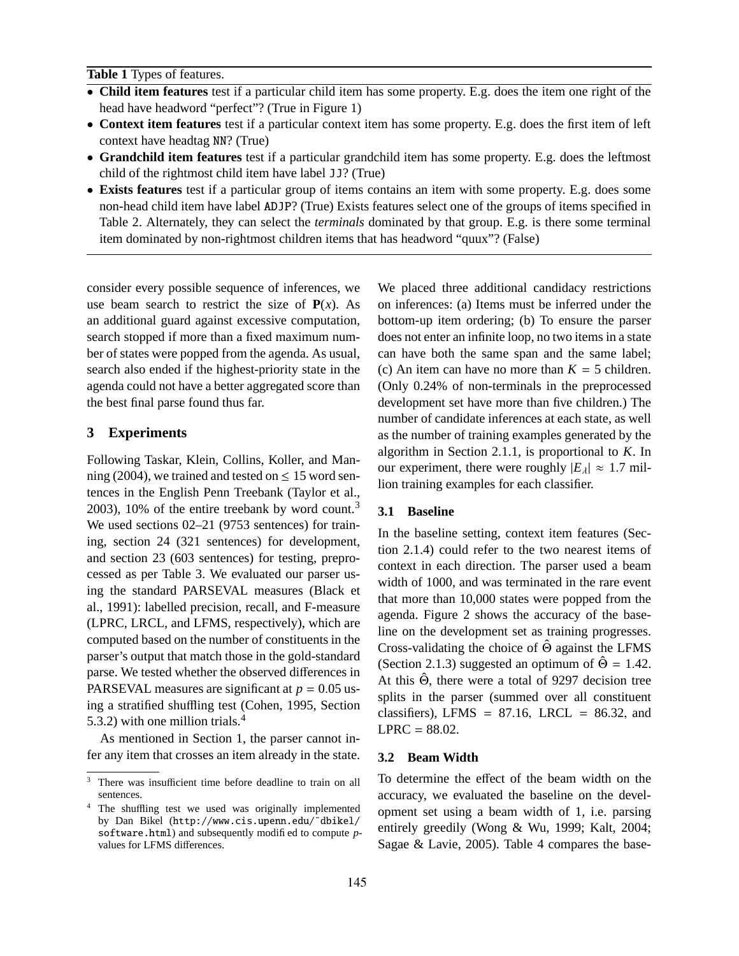**Table 1** Types of features.

- **Child item features** test if a particular child item has some property. E.g. does the item one right of the head have headword "perfect"? (True in Figure 1)
- **Context item features** test if a particular context item has some property. E.g. does the first item of left context have headtag NN? (True)
- **Grandchild item features** test if a particular grandchild item has some property. E.g. does the leftmost child of the rightmost child item have label JJ? (True)
- **Exists features** test if a particular group of items contains an item with some property. E.g. does some non-head child item have label ADJP? (True) Exists features select one of the groups of items specified in Table 2. Alternately, they can select the *terminals* dominated by that group. E.g. is there some terminal item dominated by non-rightmost children items that has headword "quux"? (False)

consider every possible sequence of inferences, we use beam search to restrict the size of  $P(x)$ . As an additional guard against excessive computation, search stopped if more than a fixed maximum number of states were popped from the agenda. As usual, search also ended if the highest-priority state in the agenda could not have a better aggregated score than the best final parse found thus far.

## **3 Experiments**

Following Taskar, Klein, Collins, Koller, and Manning (2004), we trained and tested on  $\leq$  15 word sentences in the English Penn Treebank (Taylor et al., 2003), 10% of the entire treebank by word count.<sup>3</sup> We used sections 02–21 (9753 sentences) for training, section 24 (321 sentences) for development, and section 23 (603 sentences) for testing, preprocessed as per Table 3. We evaluated our parser using the standard PARSEVAL measures (Black et al., 1991): labelled precision, recall, and F-measure (LPRC, LRCL, and LFMS, respectively), which are computed based on the number of constituents in the parser's output that match those in the gold-standard parse. We tested whether the observed differences in PARSEVAL measures are significant at  $p = 0.05$  using a stratified shuffling test (Cohen, 1995, Section 5.3.2) with one million trials.<sup>4</sup>

As mentioned in Section 1, the parser cannot infer any item that crosses an item already in the state. We placed three additional candidacy restrictions on inferences: (a) Items must be inferred under the bottom-up item ordering; (b) To ensure the parser does not enter an infinite loop, no two items in a state can have both the same span and the same label; (c) An item can have no more than *K* = 5 children. (Only 0.24% of non-terminals in the preprocessed development set have more than five children.) The number of candidate inferences at each state, as well as the number of training examples generated by the algorithm in Section 2.1.1, is proportional to *K*. In our experiment, there were roughly  $|E_\lambda| \approx 1.7$  million training examples for each classifier.

#### **3.1 Baseline**

In the baseline setting, context item features (Section 2.1.4) could refer to the two nearest items of context in each direction. The parser used a beam width of 1000, and was terminated in the rare event that more than 10,000 states were popped from the agenda. Figure 2 shows the accuracy of the baseline on the development set as training progresses. Cross-validating the choice of  $\hat{\Theta}$  against the LFMS (Section 2.1.3) suggested an optimum of  $\hat{\Theta} = 1.42$ . At this  $\hat{\Theta}$ , there were a total of 9297 decision tree splits in the parser (summed over all constituent classifiers), LFMS =  $87.16$ , LRCL =  $86.32$ , and  $LPRC = 88.02$ .

## **3.2 Beam Width**

To determine the effect of the beam width on the accuracy, we evaluated the baseline on the development set using a beam width of 1, i.e. parsing entirely greedily (Wong & Wu, 1999; Kalt, 2004; Sagae & Lavie, 2005). Table 4 compares the base-

<sup>&</sup>lt;sup>3</sup> There was insufficient time before deadline to train on all sentences.

<sup>4</sup> The shuffling test we used was originally implemented by Dan Bikel (http://www.cis.upenn.edu/˜dbikel/ software.html) and subsequently modified to compute *p*values for LFMS differences.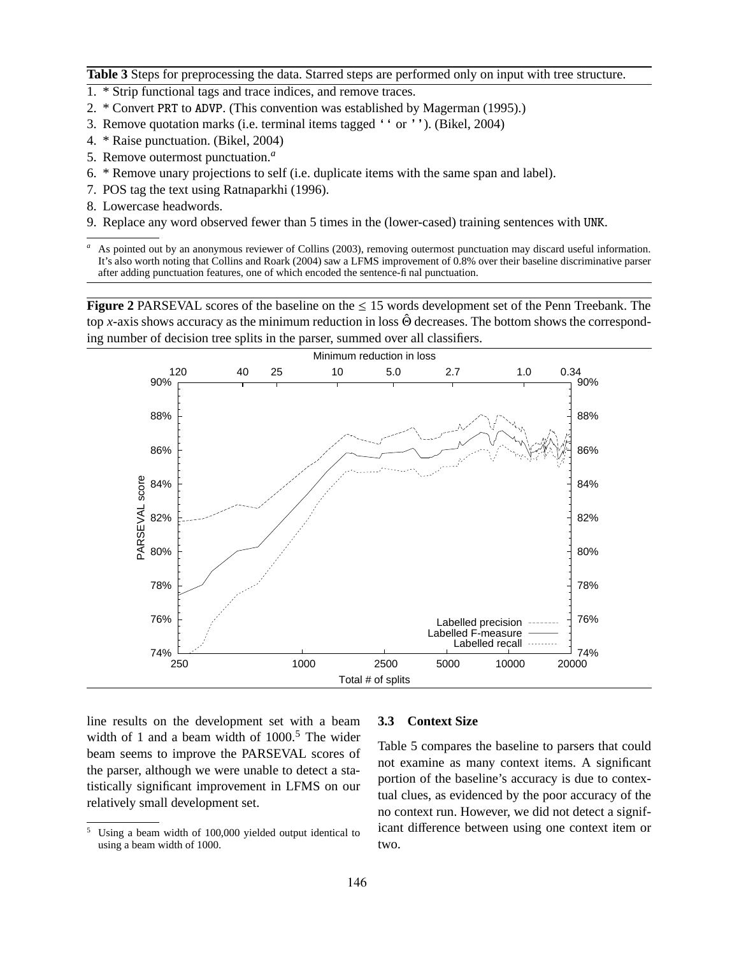**Table 3** Steps for preprocessing the data. Starred steps are performed only on input with tree structure.

- 1. \* Strip functional tags and trace indices, and remove traces.
- 2. \* Convert PRT to ADVP. (This convention was established by Magerman (1995).)
- 3. Remove quotation marks (i.e. terminal items tagged '' or ''). (Bikel, 2004)
- 4. \* Raise punctuation. (Bikel, 2004)
- 5. Remove outermost punctuation.*<sup>a</sup>*
- 6. \* Remove unary projections to self (i.e. duplicate items with the same span and label).
- 7. POS tag the text using Ratnaparkhi (1996).
- 8. Lowercase headwords.
- 9. Replace any word observed fewer than 5 times in the (lower-cased) training sentences with UNK.

*<sup>a</sup>* As pointed out by an anonymous reviewer of Collins (2003), removing outermost punctuation may discard useful information. It's also worth noting that Collins and Roark (2004) saw a LFMS improvement of 0.8% over their baseline discriminative parser after adding punctuation features, one of which encoded the sentence-final punctuation.

**Figure** 2 PARSEVAL scores of the baseline on the  $\leq 15$  words development set of the Penn Treebank. The top *x*-axis shows accuracy as the minimum reduction in loss Θ decreases. The bottom shows the corresponding number of decision tree splits in the parser, summed over all classifiers.



line results on the development set with a beam width of 1 and a beam width of  $1000<sup>5</sup>$ . The wider beam seems to improve the PARSEVAL scores of the parser, although we were unable to detect a statistically significant improvement in LFMS on our relatively small development set.

#### **3.3 Context Size**

Table 5 compares the baseline to parsers that could not examine as many context items. A significant portion of the baseline's accuracy is due to contextual clues, as evidenced by the poor accuracy of the no context run. However, we did not detect a significant difference between using one context item or two.

<sup>5</sup> Using a beam width of 100,000 yielded output identical to using a beam width of 1000.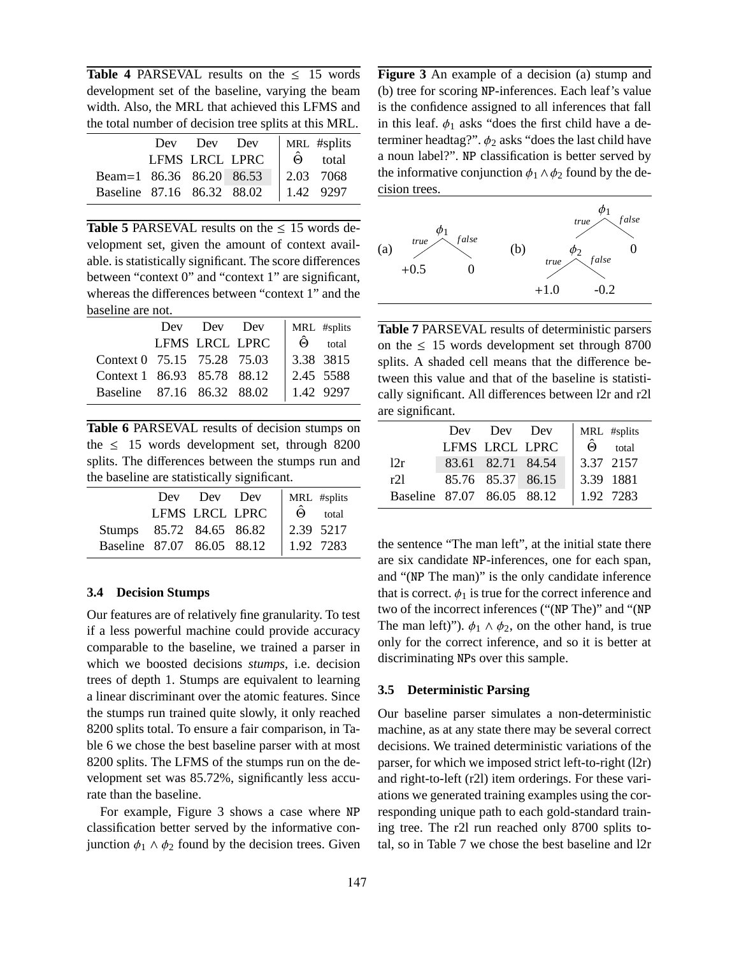**Table 4 PARSEVAL results on the**  $\leq 15$  **words** development set of the baseline, varying the beam width. Also, the MRL that achieved this LFMS and the total number of decision tree splits at this MRL.

|                            |  | Dev Dev Dev    | MRL #splits          |
|----------------------------|--|----------------|----------------------|
|                            |  | LFMS LRCL LPRC | $\hat{\Theta}$ total |
| Beam=1 86.36 86.20 86.53   |  |                | $12.03$ 7068         |
| Baseline 87.16 86.32 88.02 |  |                | 1.42 9297            |

**Table 5** PARSEVAL results on the  $\leq 15$  words development set, given the amount of context available. is statistically significant. The score differences between "context 0" and "context 1" are significant, whereas the differences between "context 1" and the baseline are not.

|                             | Dev Dev Dev    | MRL #splits            |       |
|-----------------------------|----------------|------------------------|-------|
|                             | LFMS LRCL LPRC | $\cdot$ $\hat{\Theta}$ | total |
| Context 0 75.15 75.28 75.03 |                | 3.38 3815              |       |
| Context 1 86.93 85.78 88.12 |                | 2.45 5588              |       |
| Baseline 87.16 86.32 88.02  |                | 1.42 9297              |       |

**Table 6** PARSEVAL results of decision stumps on the  $\leq$  15 words development set, through 8200 splits. The differences between the stumps run and the baseline are statistically significant.

|                            |                | Dev Dev Dev | MRL #splits          |  |
|----------------------------|----------------|-------------|----------------------|--|
|                            | LFMS LRCL LPRC |             | $\hat{\Theta}$ total |  |
| Stumps 85.72 84.65 86.82   |                |             | $\vert$ 2.39 5217    |  |
| Baseline 87.07 86.05 88.12 |                |             | 1.92 7283            |  |

#### **3.4 Decision Stumps**

Our features are of relatively fine granularity. To test if a less powerful machine could provide accuracy comparable to the baseline, we trained a parser in which we boosted decisions *stumps*, i.e. decision trees of depth 1. Stumps are equivalent to learning a linear discriminant over the atomic features. Since the stumps run trained quite slowly, it only reached 8200 splits total. To ensure a fair comparison, in Table 6 we chose the best baseline parser with at most 8200 splits. The LFMS of the stumps run on the development set was 85.72%, significantly less accurate than the baseline.

For example, Figure 3 shows a case where NP classification better served by the informative conjunction  $\phi_1 \wedge \phi_2$  found by the decision trees. Given **Figure 3** An example of a decision (a) stump and (b) tree for scoring NP-inferences. Each leaf's value is the confidence assigned to all inferences that fall in this leaf.  $\phi_1$  asks "does the first child have a determiner headtag?".  $\phi_2$  asks "does the last child have a noun label?". NP classification is better served by the informative conjunction  $\phi_1 \wedge \phi_2$  found by the decision trees.



**Table 7** PARSEVAL results of deterministic parsers on the  $\leq 15$  words development set through 8700 splits. A shaded cell means that the difference between this value and that of the baseline is statistically significant. All differences between l2r and r2l are significant.

|                            | Dev | Dev Dev           | MRL #splits             |
|----------------------------|-----|-------------------|-------------------------|
|                            |     | LFMS LRCL LPRC    | total<br>$\hat{\Theta}$ |
| 12r                        |     | 83.61 82.71 84.54 | 3.37 2157               |
| r21                        |     | 85.76 85.37 86.15 | 3.39 1881               |
| Baseline 87.07 86.05 88.12 |     |                   | 1.92 7283               |

the sentence "The man left", at the initial state there are six candidate NP-inferences, one for each span, and "(NP The man)" is the only candidate inference that is correct.  $\phi_1$  is true for the correct inference and two of the incorrect inferences ("(NP The)" and "(NP The man left)").  $\phi_1 \wedge \phi_2$ , on the other hand, is true only for the correct inference, and so it is better at discriminating NPs over this sample.

#### **3.5 Deterministic Parsing**

Our baseline parser simulates a non-deterministic machine, as at any state there may be several correct decisions. We trained deterministic variations of the parser, for which we imposed strict left-to-right (l2r) and right-to-left (r2l) item orderings. For these variations we generated training examples using the corresponding unique path to each gold-standard training tree. The r2l run reached only 8700 splits total, so in Table 7 we chose the best baseline and l2r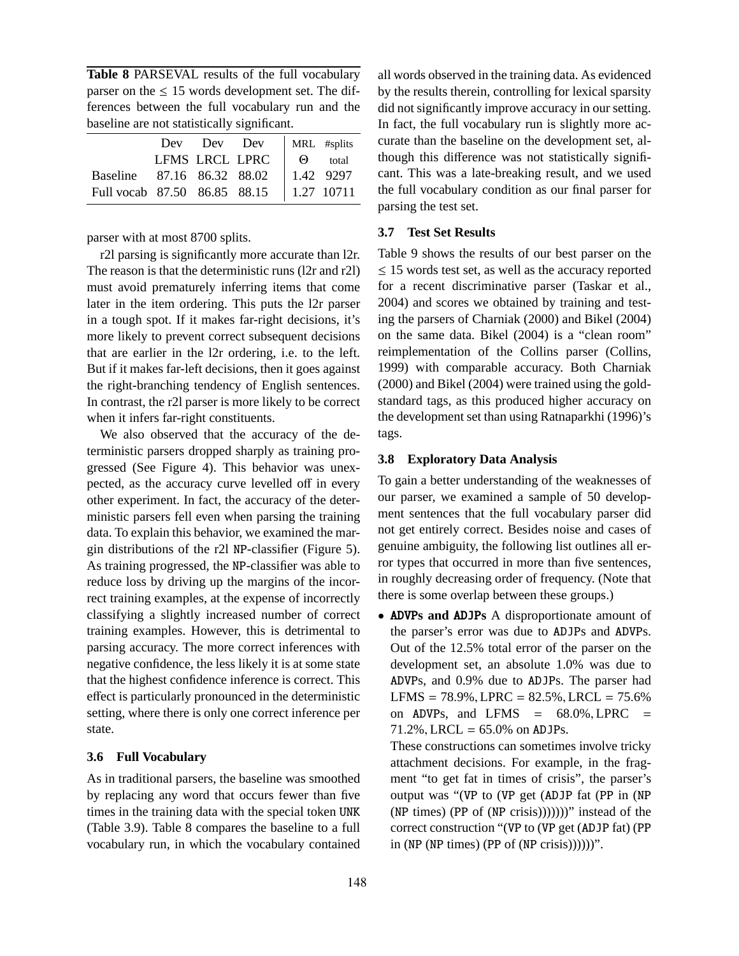**Table 8** PARSEVAL results of the full vocabulary parser on the  $\leq 15$  words development set. The differences between the full vocabulary run and the baseline are not statistically significant.

|                                                                                     |  | Dev Dev Dev    | MRL #splits    |  |
|-------------------------------------------------------------------------------------|--|----------------|----------------|--|
|                                                                                     |  | LFMS LRCL LPRC | $\Theta$ total |  |
|                                                                                     |  |                |                |  |
| Baseline 87.16 86.32 88.02   1.42 9297<br>Full vocab 87.50 86.85 88.15   1.27 10711 |  |                |                |  |

parser with at most 8700 splits.

r2l parsing is significantly more accurate than l2r. The reason is that the deterministic runs (l2r and r2l) must avoid prematurely inferring items that come later in the item ordering. This puts the l2r parser in a tough spot. If it makes far-right decisions, it's more likely to prevent correct subsequent decisions that are earlier in the l2r ordering, i.e. to the left. But if it makes far-left decisions, then it goes against the right-branching tendency of English sentences. In contrast, the r2l parser is more likely to be correct when it infers far-right constituents.

We also observed that the accuracy of the deterministic parsers dropped sharply as training progressed (See Figure 4). This behavior was unexpected, as the accuracy curve levelled off in every other experiment. In fact, the accuracy of the deterministic parsers fell even when parsing the training data. To explain this behavior, we examined the margin distributions of the r2l NP-classifier (Figure 5). As training progressed, the NP-classifier was able to reduce loss by driving up the margins of the incorrect training examples, at the expense of incorrectly classifying a slightly increased number of correct training examples. However, this is detrimental to parsing accuracy. The more correct inferences with negative confidence, the less likely it is at some state that the highest confidence inference is correct. This effect is particularly pronounced in the deterministic setting, where there is only one correct inference per state.

## **3.6 Full Vocabulary**

As in traditional parsers, the baseline was smoothed by replacing any word that occurs fewer than five times in the training data with the special token UNK (Table 3.9). Table 8 compares the baseline to a full vocabulary run, in which the vocabulary contained

all words observed in the training data. As evidenced by the results therein, controlling for lexical sparsity did not significantly improve accuracy in our setting. In fact, the full vocabulary run is slightly more accurate than the baseline on the development set, although this difference was not statistically significant. This was a late-breaking result, and we used the full vocabulary condition as our final parser for parsing the test set.

## **3.7 Test Set Results**

Table 9 shows the results of our best parser on the  $\leq$  15 words test set, as well as the accuracy reported for a recent discriminative parser (Taskar et al., 2004) and scores we obtained by training and testing the parsers of Charniak (2000) and Bikel (2004) on the same data. Bikel (2004) is a "clean room" reimplementation of the Collins parser (Collins, 1999) with comparable accuracy. Both Charniak (2000) and Bikel (2004) were trained using the goldstandard tags, as this produced higher accuracy on the development set than using Ratnaparkhi (1996)'s tags.

## **3.8 Exploratory Data Analysis**

To gain a better understanding of the weaknesses of our parser, we examined a sample of 50 development sentences that the full vocabulary parser did not get entirely correct. Besides noise and cases of genuine ambiguity, the following list outlines all error types that occurred in more than five sentences, in roughly decreasing order of frequency. (Note that there is some overlap between these groups.)

• ADVP**s and** ADJP**s** A disproportionate amount of the parser's error was due to ADJPs and ADVPs. Out of the 12.5% total error of the parser on the development set, an absolute 1.0% was due to ADVPs, and 0.9% due to ADJPs. The parser had  $LFMS = 78.9\%, LPRC = 82.5\%, LRCL = 75.6\%$ on ADVPs, and LFMS  $=$  68.0%, LPRC  $=$  $71.2\%$ , LRCL = 65.0% on ADJPs.

These constructions can sometimes involve tricky attachment decisions. For example, in the fragment "to get fat in times of crisis", the parser's output was "(VP to (VP get (ADJP fat (PP in (NP  $(NP \tmtext{ times})$   $(PP \text{ of } (NP \tmtext{ crisis}))))$ ))' instead of the correct construction "(VP to (VP get (ADJP fat) (PP in (NP (NP times) (PP of (NP crisis))))))".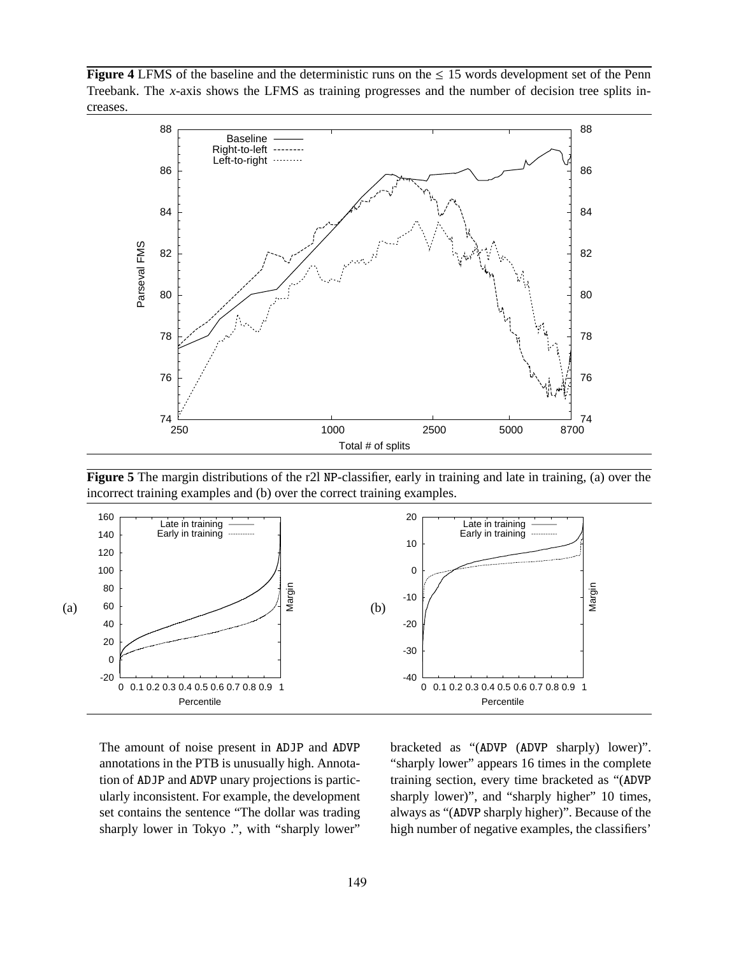**Figure** 4 LFMS of the baseline and the deterministic runs on the  $\leq 15$  words development set of the Penn Treebank. The *x*-axis shows the LFMS as training progresses and the number of decision tree splits increases.



**Figure 5** The margin distributions of the r2l NP-classifier, early in training and late in training, (a) over the incorrect training examples and (b) over the correct training examples.



The amount of noise present in ADJP and ADVP annotations in the PTB is unusually high. Annotation of ADJP and ADVP unary projections is particularly inconsistent. For example, the development set contains the sentence "The dollar was trading sharply lower in Tokyo .", with "sharply lower"

bracketed as "(ADVP (ADVP sharply) lower)". "sharply lower" appears 16 times in the complete training section, every time bracketed as "(ADVP sharply lower)", and "sharply higher" 10 times, always as "(ADVP sharply higher)". Because of the high number of negative examples, the classifiers'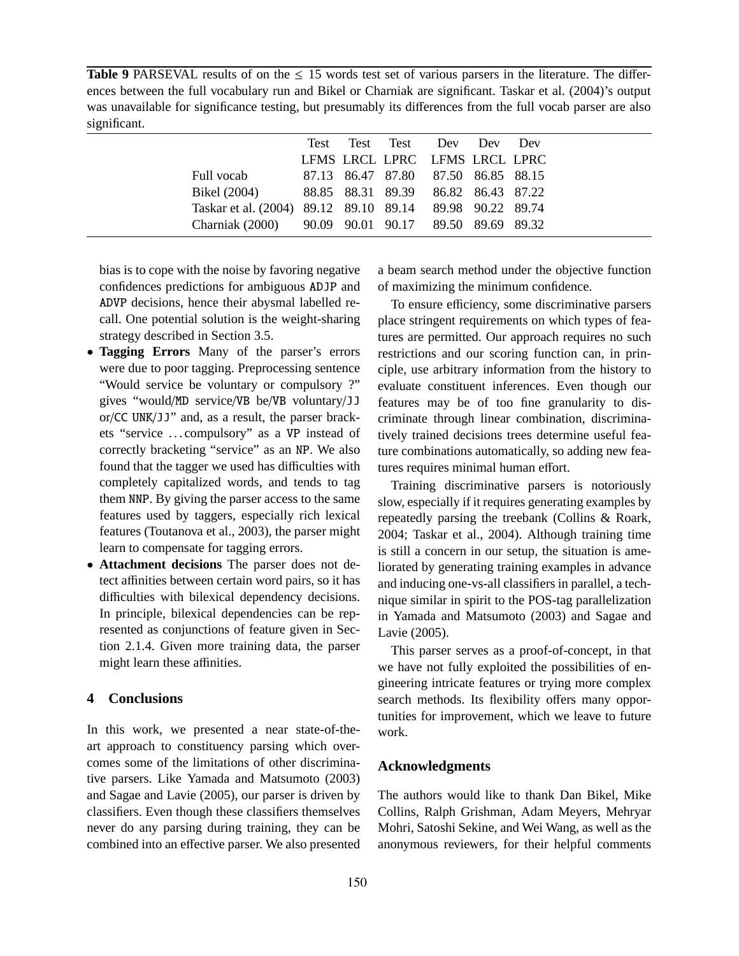**Table 9** PARSEVAL results of on the  $\leq 15$  words test set of various parsers in the literature. The differences between the full vocabulary run and Bikel or Charniak are significant. Taskar et al. (2004)'s output was unavailable for significance testing, but presumably its differences from the full vocab parser are also significant.

|                                                          |  | Test Test Test Dev Dev Dev          |  |
|----------------------------------------------------------|--|-------------------------------------|--|
|                                                          |  | LFMS LRCL LPRC LFMS LRCL LPRC       |  |
| Full vocab                                               |  | 87.13 86.47 87.80 87.50 86.85 88.15 |  |
| Bikel (2004) 88.85 88.31 89.39 86.82 86.43 87.22         |  |                                     |  |
| Taskar et al. (2004) 89.12 89.10 89.14 89.98 90.22 89.74 |  |                                     |  |
| Charniak (2000) 90.09 90.01 90.17 89.50 89.69 89.32      |  |                                     |  |

bias is to cope with the noise by favoring negative confidences predictions for ambiguous ADJP and ADVP decisions, hence their abysmal labelled recall. One potential solution is the weight-sharing strategy described in Section 3.5.

- **Tagging Errors** Many of the parser's errors were due to poor tagging. Preprocessing sentence "Would service be voluntary or compulsory ?" gives "would/MD service/VB be/VB voluntary/JJ or/CC UNK/JJ" and, as a result, the parser brackets "service . . . compulsory" as a VP instead of correctly bracketing "service" as an NP. We also found that the tagger we used has difficulties with completely capitalized words, and tends to tag them NNP. By giving the parser access to the same features used by taggers, especially rich lexical features (Toutanova et al., 2003), the parser might learn to compensate for tagging errors.
- **Attachment decisions** The parser does not detect affinities between certain word pairs, so it has difficulties with bilexical dependency decisions. In principle, bilexical dependencies can be represented as conjunctions of feature given in Section 2.1.4. Given more training data, the parser might learn these affinities.

# **4 Conclusions**

In this work, we presented a near state-of-theart approach to constituency parsing which overcomes some of the limitations of other discriminative parsers. Like Yamada and Matsumoto (2003) and Sagae and Lavie (2005), our parser is driven by classifiers. Even though these classifiers themselves never do any parsing during training, they can be combined into an effective parser. We also presented a beam search method under the objective function of maximizing the minimum confidence.

To ensure efficiency, some discriminative parsers place stringent requirements on which types of features are permitted. Our approach requires no such restrictions and our scoring function can, in principle, use arbitrary information from the history to evaluate constituent inferences. Even though our features may be of too fine granularity to discriminate through linear combination, discriminatively trained decisions trees determine useful feature combinations automatically, so adding new features requires minimal human effort.

Training discriminative parsers is notoriously slow, especially if it requires generating examples by repeatedly parsing the treebank (Collins & Roark, 2004; Taskar et al., 2004). Although training time is still a concern in our setup, the situation is ameliorated by generating training examples in advance and inducing one-vs-all classifiers in parallel, a technique similar in spirit to the POS-tag parallelization in Yamada and Matsumoto (2003) and Sagae and Lavie (2005).

This parser serves as a proof-of-concept, in that we have not fully exploited the possibilities of engineering intricate features or trying more complex search methods. Its flexibility offers many opportunities for improvement, which we leave to future work.

# **Acknowledgments**

The authors would like to thank Dan Bikel, Mike Collins, Ralph Grishman, Adam Meyers, Mehryar Mohri, Satoshi Sekine, and Wei Wang, as well as the anonymous reviewers, for their helpful comments